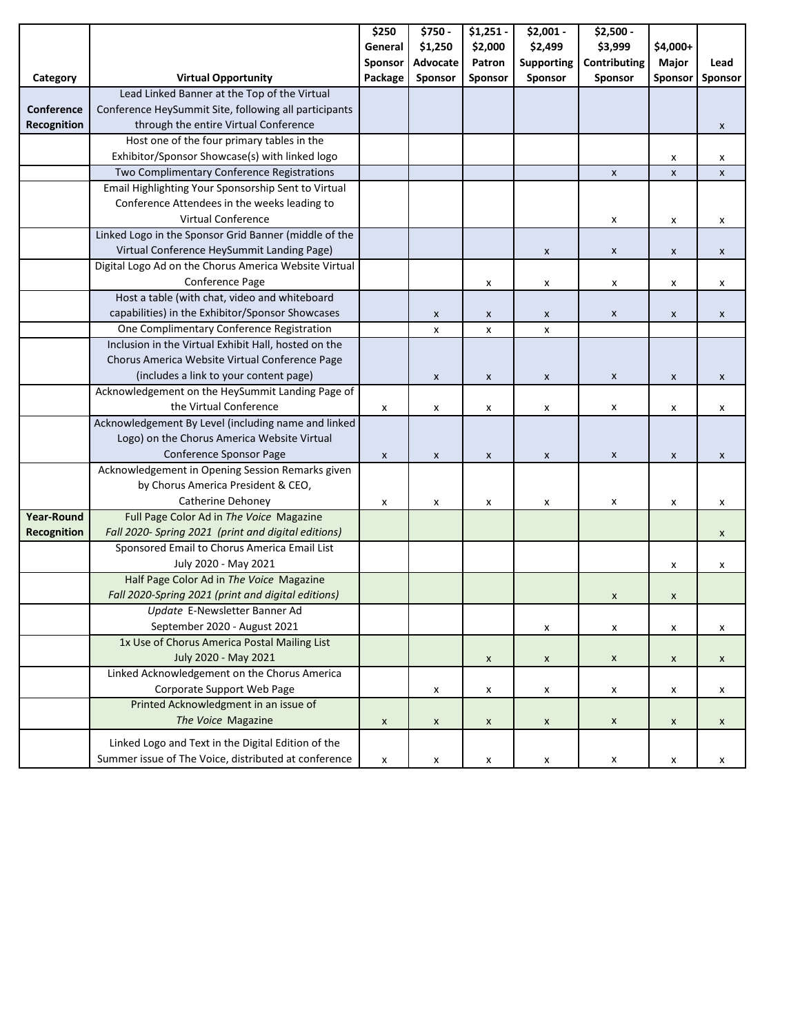| \$1,250<br>\$2,000<br>\$2,499<br>\$3,999<br>General<br>\$4,000+<br>Sponsor<br>Advocate<br><b>Supporting</b><br>Contributing<br>Major<br>Patron<br>Sponsor<br><b>Virtual Opportunity</b><br>Package<br>Sponsor<br>Sponsor<br>Sponsor<br>Sponsor<br>Category<br>Lead Linked Banner at the Top of the Virtual<br>Conference<br>Conference HeySummit Site, following all participants<br>Recognition<br>through the entire Virtual Conference<br>Host one of the four primary tables in the | Lead<br>Sponsor<br>X<br>X<br>X<br>X |
|-----------------------------------------------------------------------------------------------------------------------------------------------------------------------------------------------------------------------------------------------------------------------------------------------------------------------------------------------------------------------------------------------------------------------------------------------------------------------------------------|-------------------------------------|
|                                                                                                                                                                                                                                                                                                                                                                                                                                                                                         |                                     |
|                                                                                                                                                                                                                                                                                                                                                                                                                                                                                         |                                     |
|                                                                                                                                                                                                                                                                                                                                                                                                                                                                                         |                                     |
|                                                                                                                                                                                                                                                                                                                                                                                                                                                                                         |                                     |
|                                                                                                                                                                                                                                                                                                                                                                                                                                                                                         |                                     |
|                                                                                                                                                                                                                                                                                                                                                                                                                                                                                         |                                     |
|                                                                                                                                                                                                                                                                                                                                                                                                                                                                                         |                                     |
| Exhibitor/Sponsor Showcase(s) with linked logo<br>X                                                                                                                                                                                                                                                                                                                                                                                                                                     |                                     |
| Two Complimentary Conference Registrations<br>$\pmb{\times}$<br>$\pmb{\mathsf{X}}$                                                                                                                                                                                                                                                                                                                                                                                                      |                                     |
| Email Highlighting Your Sponsorship Sent to Virtual                                                                                                                                                                                                                                                                                                                                                                                                                                     |                                     |
| Conference Attendees in the weeks leading to                                                                                                                                                                                                                                                                                                                                                                                                                                            |                                     |
| <b>Virtual Conference</b><br>X<br>X                                                                                                                                                                                                                                                                                                                                                                                                                                                     |                                     |
| Linked Logo in the Sponsor Grid Banner (middle of the                                                                                                                                                                                                                                                                                                                                                                                                                                   |                                     |
| Virtual Conference HeySummit Landing Page)<br>$\pmb{\mathsf{x}}$<br>$\pmb{\mathsf{x}}$<br>X                                                                                                                                                                                                                                                                                                                                                                                             | X                                   |
| Digital Logo Ad on the Chorus America Website Virtual                                                                                                                                                                                                                                                                                                                                                                                                                                   |                                     |
| Conference Page<br>X<br>x<br>x<br>x                                                                                                                                                                                                                                                                                                                                                                                                                                                     | X                                   |
| Host a table (with chat, video and whiteboard                                                                                                                                                                                                                                                                                                                                                                                                                                           |                                     |
| capabilities) in the Exhibitor/Sponsor Showcases<br>$\pmb{\mathsf{x}}$<br>$\pmb{\mathsf{X}}$<br>X<br>X<br>X                                                                                                                                                                                                                                                                                                                                                                             | X                                   |
| One Complimentary Conference Registration<br>X<br>x<br>x                                                                                                                                                                                                                                                                                                                                                                                                                                |                                     |
| Inclusion in the Virtual Exhibit Hall, hosted on the                                                                                                                                                                                                                                                                                                                                                                                                                                    |                                     |
| Chorus America Website Virtual Conference Page                                                                                                                                                                                                                                                                                                                                                                                                                                          |                                     |
| (includes a link to your content page)<br>$\pmb{\mathsf{x}}$<br>$\pmb{\mathsf{x}}$<br>X<br>X<br>X                                                                                                                                                                                                                                                                                                                                                                                       | X                                   |
| Acknowledgement on the HeySummit Landing Page of                                                                                                                                                                                                                                                                                                                                                                                                                                        |                                     |
| the Virtual Conference<br>X<br>x<br>X<br>x<br>X<br>x                                                                                                                                                                                                                                                                                                                                                                                                                                    | X                                   |
| Acknowledgement By Level (including name and linked                                                                                                                                                                                                                                                                                                                                                                                                                                     |                                     |
| Logo) on the Chorus America Website Virtual                                                                                                                                                                                                                                                                                                                                                                                                                                             |                                     |
| Conference Sponsor Page<br>$\pmb{\mathsf{x}}$<br>$\pmb{\times}$<br>$\pmb{\mathsf{x}}$<br>X<br>X<br>X                                                                                                                                                                                                                                                                                                                                                                                    | X                                   |
| Acknowledgement in Opening Session Remarks given                                                                                                                                                                                                                                                                                                                                                                                                                                        |                                     |
| by Chorus America President & CEO,                                                                                                                                                                                                                                                                                                                                                                                                                                                      |                                     |
| Catherine Dehoney<br>X<br>X<br>X<br>х<br>х<br>x                                                                                                                                                                                                                                                                                                                                                                                                                                         | x                                   |
| <b>Year-Round</b><br>Full Page Color Ad in The Voice Magazine                                                                                                                                                                                                                                                                                                                                                                                                                           |                                     |
| Recognition<br>Fall 2020- Spring 2021 (print and digital editions)                                                                                                                                                                                                                                                                                                                                                                                                                      | X                                   |
| Sponsored Email to Chorus America Email List                                                                                                                                                                                                                                                                                                                                                                                                                                            |                                     |
| July 2020 - May 2021<br>X                                                                                                                                                                                                                                                                                                                                                                                                                                                               | X                                   |
| Half Page Color Ad in The Voice Magazine                                                                                                                                                                                                                                                                                                                                                                                                                                                |                                     |
| Fall 2020-Spring 2021 (print and digital editions)<br>X<br>X                                                                                                                                                                                                                                                                                                                                                                                                                            |                                     |
| Update E-Newsletter Banner Ad                                                                                                                                                                                                                                                                                                                                                                                                                                                           |                                     |
| September 2020 - August 2021<br>X<br>X<br>X                                                                                                                                                                                                                                                                                                                                                                                                                                             | x                                   |
| 1x Use of Chorus America Postal Mailing List                                                                                                                                                                                                                                                                                                                                                                                                                                            |                                     |
| July 2020 - May 2021<br>X<br>$\pmb{\mathsf{x}}$<br>X<br>X                                                                                                                                                                                                                                                                                                                                                                                                                               | X                                   |
| Linked Acknowledgement on the Chorus America                                                                                                                                                                                                                                                                                                                                                                                                                                            |                                     |
| Corporate Support Web Page<br>x<br>X<br>$\boldsymbol{\mathsf{x}}$<br>x<br>X                                                                                                                                                                                                                                                                                                                                                                                                             | x                                   |
| Printed Acknowledgment in an issue of                                                                                                                                                                                                                                                                                                                                                                                                                                                   |                                     |
| The Voice Magazine<br>X<br>$\pmb{\mathsf{x}}$<br>X<br>X<br>X<br>X                                                                                                                                                                                                                                                                                                                                                                                                                       | X                                   |
| Linked Logo and Text in the Digital Edition of the                                                                                                                                                                                                                                                                                                                                                                                                                                      |                                     |
| Summer issue of The Voice, distributed at conference<br>X<br>X<br>X<br>x<br>X<br>X                                                                                                                                                                                                                                                                                                                                                                                                      | x                                   |